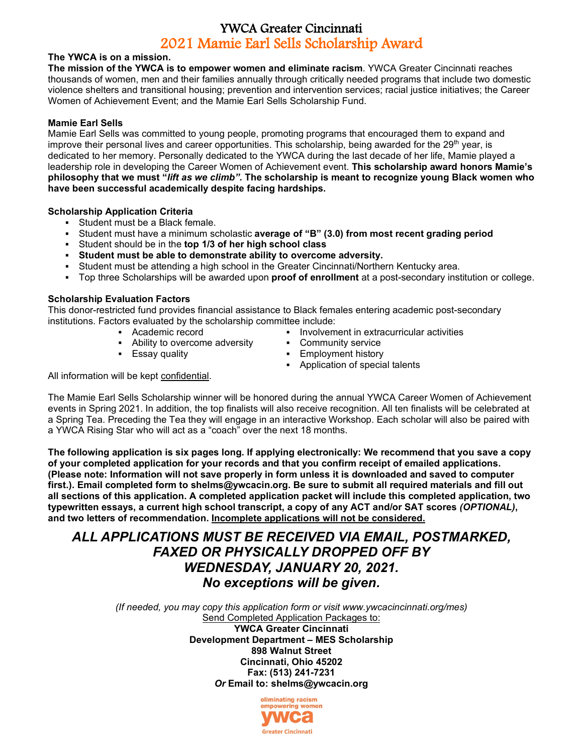## YWCA Greater Cincinnati 2021 Mamie Earl Sells Scholarship Award

#### **The YWCA is on a mission.**

**The mission of the YWCA is to empower women and eliminate racism**. YWCA Greater Cincinnati reaches thousands of women, men and their families annually through critically needed programs that include two domestic violence shelters and transitional housing; prevention and intervention services; racial justice initiatives; the Career Women of Achievement Event; and the Mamie Earl Sells Scholarship Fund.

#### **Mamie Earl Sells**

Mamie Earl Sells was committed to young people, promoting programs that encouraged them to expand and improve their personal lives and career opportunities. This scholarship, being awarded for the 29<sup>th</sup> year, is dedicated to her memory. Personally dedicated to the YWCA during the last decade of her life, Mamie played a leadership role in developing the Career Women of Achievement event. **This scholarship award honors Mamie's philosophy that we must "***lift as we climb".* **The scholarship is meant to recognize young Black women who have been successful academically despite facing hardships.**

#### **Scholarship Application Criteria**

- **Student must be a Black female.**
- Student must have a minimum scholastic **average of "B" (3.0) from most recent grading period**
- Student should be in the **top 1/3 of her high school class**
- **Student must be able to demonstrate ability to overcome adversity.**
- Student must be attending a high school in the Greater Cincinnati/Northern Kentucky area.
- Top three Scholarships will be awarded upon **proof of enrollment** at a post-secondary institution or college.

#### **Scholarship Evaluation Factors**

This donor-restricted fund provides financial assistance to Black females entering academic post-secondary institutions. Factors evaluated by the scholarship committee include:

- Academic record
- Ability to overcome adversity
	-
- **Involvement in extracurricular activities**
- **•** Community service
- Essay quality Employment history
	- Application of special talents

All information will be kept confidential.

The Mamie Earl Sells Scholarship winner will be honored during the annual YWCA Career Women of Achievement events in Spring 2021. In addition, the top finalists will also receive recognition. All ten finalists will be celebrated at a Spring Tea. Preceding the Tea they will engage in an interactive Workshop. Each scholar will also be paired with a YWCA Rising Star who will act as a "coach" over the next 18 months.

**The following application is six pages long. If applying electronically: We recommend that you save a copy of your completed application for your records and that you confirm receipt of emailed applications. (Please note: Information will not save properly in form unless it is downloaded and saved to computer first.). Email completed form to shelms@ywcacin.org. Be sure to submit all required materials and fill out all sections of this application. A completed application packet will include this completed application, two typewritten essays, a current high school transcript, a copy of any ACT and/or SAT scores** *(OPTIONAL)***, and two letters of recommendation. Incomplete applications will not be considered.**

## *ALL APPLICATIONS MUST BE RECEIVED VIA EMAIL, POSTMARKED, FAXED OR PHYSICALLY DROPPED OFF BY WEDNESDAY, JANUARY 20, 2021. No exceptions will be given.*

*(If needed, you may copy this application form or visit www.ywcacincinnati.org/mes)* Send Completed Application Packages to: **YWCA Greater Cincinnati**

**Development Department – MES Scholarship 898 Walnut Street Cincinnati, Ohio 45202**

**Fax: (513) 241-7231** *Or* **Email to: shelms@ywcacin.org** 

> eliminating racism empowering women **Greater Cincinnati**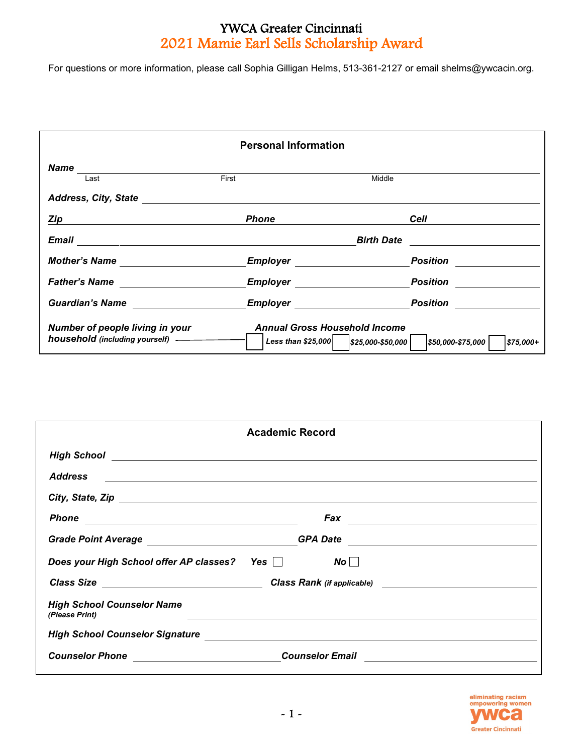# YWCA Greater Cincinnati 2021 Mamie Earl Sells Scholarship Award

For questions or more information, please call Sophia Gilligan Helms, 513-361-2127 or email shelms@ywcacin.org.

| <b>Personal Information</b>                                                                                                                                                                                                          |                                                                                |                                                                                                                                             |  |  |
|--------------------------------------------------------------------------------------------------------------------------------------------------------------------------------------------------------------------------------------|--------------------------------------------------------------------------------|---------------------------------------------------------------------------------------------------------------------------------------------|--|--|
| Name<br>Last                                                                                                                                                                                                                         | First                                                                          | Middle                                                                                                                                      |  |  |
|                                                                                                                                                                                                                                      |                                                                                |                                                                                                                                             |  |  |
| Zip                                                                                                                                                                                                                                  | <b>Phone</b>                                                                   | Cell                                                                                                                                        |  |  |
|                                                                                                                                                                                                                                      |                                                                                | <b>Birth Date</b><br><u> 1989 - Andrea State Barbara, política e a filosofia de la filosofia de la filosofia de la filosofia de la filo</u> |  |  |
| Mother's Name <b>with the contract of the contract of the contract of the contract of the contract of the contract of the contract of the contract of the contract of the contract of the contract of the contract of the contra</b> |                                                                                | <b>Position</b>                                                                                                                             |  |  |
| Father's Name                                                                                                                                                                                                                        | <b>Employer Employer</b>                                                       | <b>Position</b>                                                                                                                             |  |  |
| <b>Guardian's Name</b>                                                                                                                                                                                                               | Employer                                                                       | <b>Position</b>                                                                                                                             |  |  |
| Number of people living in your                                                                                                                                                                                                      | <b>Annual Gross Household Income</b><br>Less than \$25,000   \$25,000-\$50,000 | \$50,000-\$75,000<br>$$75,000+$                                                                                                             |  |  |

| <b>Academic Record</b>                                                                                                                 |                                                                                                                    |  |  |
|----------------------------------------------------------------------------------------------------------------------------------------|--------------------------------------------------------------------------------------------------------------------|--|--|
|                                                                                                                                        |                                                                                                                    |  |  |
| <b>Address</b><br><u> 1989 - Jan Barbara de Santo de Santo de Santo de Santo de Santo de Santo de Santo de Santo de Santo de Santo</u> |                                                                                                                    |  |  |
|                                                                                                                                        |                                                                                                                    |  |  |
|                                                                                                                                        | $Fax \tightharpoonup$ $\qquad \qquad$                                                                              |  |  |
|                                                                                                                                        |                                                                                                                    |  |  |
| Does your High School offer AP classes? Yes □                                                                                          | No                                                                                                                 |  |  |
| Class Size                                                                                                                             |                                                                                                                    |  |  |
| <b>High School Counselor Name</b><br>(Please Print)                                                                                    |                                                                                                                    |  |  |
|                                                                                                                                        | High School Counselor Signature Manual Countries and School Counselor Signature Manual Counsel of School Counselor |  |  |
|                                                                                                                                        | <b>Counselor Email</b><br><u> 1989 - Jan Samuel Barbara, martin d</u>                                              |  |  |

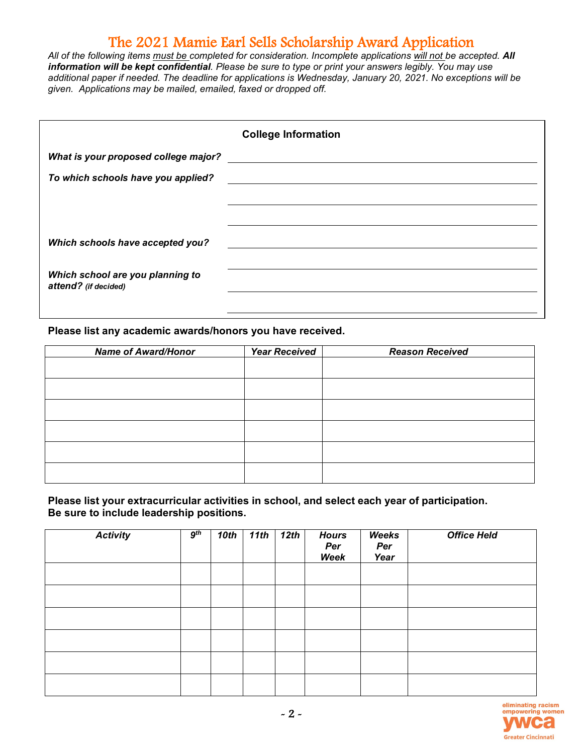All of the following items *must be completed for consideration. Incomplete applications* will not be accepted. All *information will be kept confidential. Please be sure to type or print your answers legibly. You may use additional paper if needed. The deadline for applications is Wednesday, January 20, 2021. No exceptions will be given. Applications may be mailed, emailed, faxed or dropped off.*

|                                                          | <b>College Information</b> |
|----------------------------------------------------------|----------------------------|
| What is your proposed college major?                     |                            |
| To which schools have you applied?                       |                            |
|                                                          |                            |
|                                                          |                            |
| Which schools have accepted you?                         |                            |
|                                                          |                            |
| Which school are you planning to<br>attend? (if decided) |                            |
|                                                          |                            |

**Please list any academic awards/honors you have received.** 

| <b>Name of Award/Honor</b> | <b>Year Received</b> | <b>Reason Received</b> |
|----------------------------|----------------------|------------------------|
|                            |                      |                        |
|                            |                      |                        |
|                            |                      |                        |
|                            |                      |                        |
|                            |                      |                        |
|                            |                      |                        |
|                            |                      |                        |
|                            |                      |                        |
|                            |                      |                        |
|                            |                      |                        |
|                            |                      |                        |

**Please list your extracurricular activities in school, and select each year of participation. Be sure to include leadership positions.** 

| <b>Activity</b> | 9 <sup>th</sup> | 10th | 11th | 12th | <b>Hours</b><br>Per<br>Week | Weeks<br>Per<br>Year | <b>Office Held</b> |
|-----------------|-----------------|------|------|------|-----------------------------|----------------------|--------------------|
|                 |                 |      |      |      |                             |                      |                    |
|                 |                 |      |      |      |                             |                      |                    |
|                 |                 |      |      |      |                             |                      |                    |
|                 |                 |      |      |      |                             |                      |                    |
|                 |                 |      |      |      |                             |                      |                    |
|                 |                 |      |      |      |                             |                      |                    |

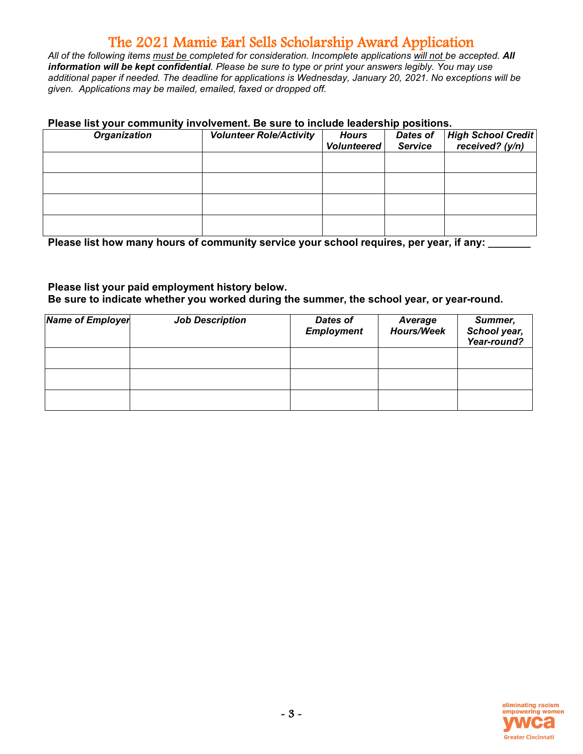All of the following items *must be completed for consideration. Incomplete applications* will not be accepted. All *information will be kept confidential. Please be sure to type or print your answers legibly. You may use additional paper if needed. The deadline for applications is Wednesday, January 20, 2021. No exceptions will be given. Applications may be mailed, emailed, faxed or dropped off.*

#### **Please list your community involvement. Be sure to include leadership positions.**

| <b>Organization</b> | <b>Volunteer Role/Activity</b> | <b>Hours</b><br><b>Volunteered</b> | Dates of<br><b>Service</b> | High School Credit<br>received? (y/n) |
|---------------------|--------------------------------|------------------------------------|----------------------------|---------------------------------------|
|                     |                                |                                    |                            |                                       |
|                     |                                |                                    |                            |                                       |
|                     |                                |                                    |                            |                                       |
|                     |                                |                                    |                            |                                       |

Please list how many hours of community service your school requires, per year, if any:

### **Please list your paid employment history below. Be sure to indicate whether you worked during the summer, the school year, or year-round.**

| <b>Name of Employer</b> | <b>Job Description</b> | <b>Dates of</b><br><b>Employment</b> | Average<br><b>Hours/Week</b> | Summer,<br>School year,<br>Year-round? |
|-------------------------|------------------------|--------------------------------------|------------------------------|----------------------------------------|
|                         |                        |                                      |                              |                                        |
|                         |                        |                                      |                              |                                        |
|                         |                        |                                      |                              |                                        |

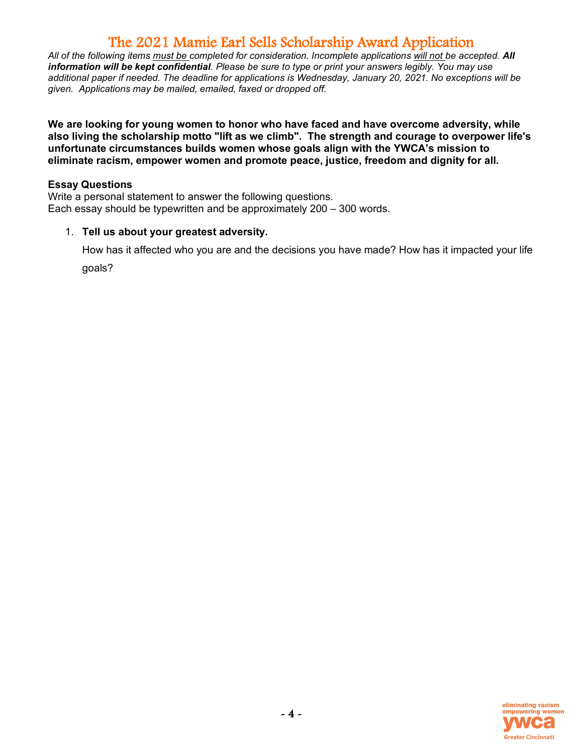All of the following items must be completed for consideration. Incomplete applications will not be accepted. All *information will be kept confidential. Please be sure to type or print your answers legibly. You may use additional paper if needed. The deadline for applications is Wednesday, January 20, 2021. No exceptions will be given. Applications may be mailed, emailed, faxed or dropped off.*

**We are looking for young women to honor who have faced and have overcome adversity, while also living the scholarship motto "lift as we climb". The strength and courage to overpower life's unfortunate circumstances builds women whose goals align with the YWCA's mission to eliminate racism, empower women and promote peace, justice, freedom and dignity for all.**

### **Essay Questions**

Write a personal statement to answer the following questions. Each essay should be typewritten and be approximately 200 – 300 words.

#### 1. **Tell us about your greatest adversity.**

How has it affected who you are and the decisions you have made? How has it impacted your life goals?

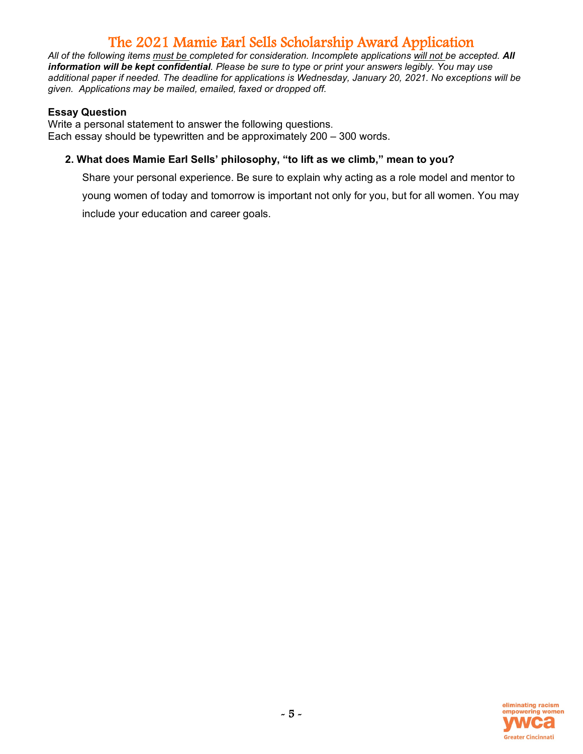All of the following items must be completed for consideration. Incomplete applications will not be accepted. All *information will be kept confidential. Please be sure to type or print your answers legibly. You may use additional paper if needed. The deadline for applications is Wednesday, January 20, 2021. No exceptions will be given. Applications may be mailed, emailed, faxed or dropped off.*

### **Essay Question**

Write a personal statement to answer the following questions. Each essay should be typewritten and be approximately 200 – 300 words.

### **2. What does Mamie Earl Sells' philosophy, "to lift as we climb," mean to you?**

Share your personal experience. Be sure to explain why acting as a role model and mentor to young women of today and tomorrow is important not only for you, but for all women. You may include your education and career goals.